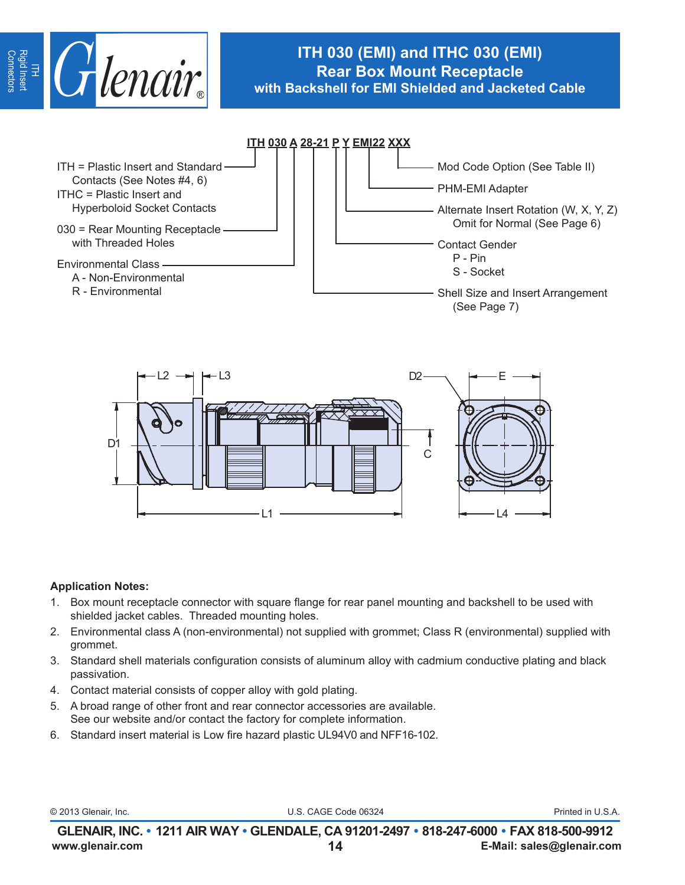

# **ITH 030 (EMI) and ITHC 030 (EMI) Rear Box Mount Receptacle with Backshell for EMI Shielded and Jacketed Cable**





## **Application Notes:**

- 1. Box mount receptacle connector with square flange for rear panel mounting and backshell to be used with shielded jacket cables. Threaded mounting holes.
- 2. Environmental class A (non-environmental) not supplied with grommet; Class R (environmental) supplied with grommet.
- 3. Standard shell materials configuration consists of aluminum alloy with cadmium conductive plating and black passivation.
- 4. Contact material consists of copper alloy with gold plating.
- 5. A broad range of other front and rear connector accessories are available. See our website and/or contact the factory for complete information.
- 6. Standard insert material is Low fire hazard plastic UL94V0 and NFF16-102.

|  | © 2013 Glenair, Inc. |  |
|--|----------------------|--|
|  |                      |  |

U.S. CAGE Code 06324 **Printed in U.S.A.**